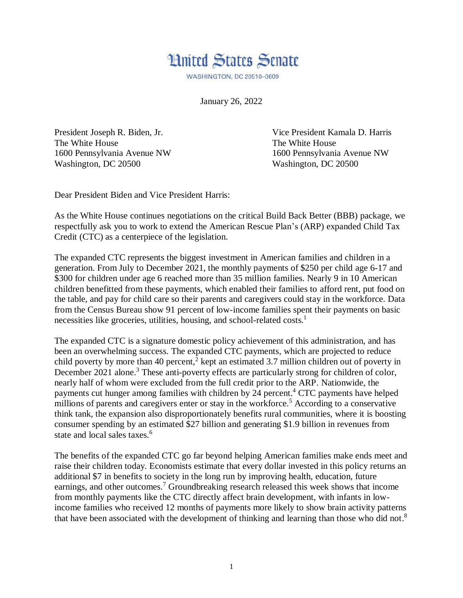

**WASHINGTON, DC 20510-0609** 

January 26, 2022

The White House The White House Washington, DC 20500 Washington, DC 20500

President Joseph R. Biden, Jr. Vice President Kamala D. Harris 1600 Pennsylvania Avenue NW 1600 Pennsylvania Avenue NW

Dear President Biden and Vice President Harris:

As the White House continues negotiations on the critical Build Back Better (BBB) package, we respectfully ask you to work to extend the American Rescue Plan's (ARP) expanded Child Tax Credit (CTC) as a centerpiece of the legislation.

The expanded CTC represents the biggest investment in American families and children in a generation. From July to December 2021, the monthly payments of \$250 per child age 6-17 and \$300 for children under age 6 reached more than 35 million families. Nearly 9 in 10 American children benefitted from these payments, which enabled their families to afford rent, put food on the table, and pay for child care so their parents and caregivers could stay in the workforce. Data from the Census Bureau show 91 percent of low-income families spent their payments on basic necessities like groceries, utilities, housing, and school-related costs.<sup>1</sup>

The expanded CTC is a signature domestic policy achievement of this administration, and has been an overwhelming success. The expanded CTC payments, which are projected to reduce child poverty by more than 40 percent,<sup> $\frac{3}{2}$ </sup> kept an estimated 3.7 million children out of poverty in December 2021 alone.<sup>3</sup> These anti-poverty effects are particularly strong for children of color, nearly half of whom were excluded from the full credit prior to the ARP. Nationwide, the payments cut hunger among families with children by 24 percent. <sup>4</sup> CTC payments have helped millions of parents and caregivers enter or stay in the workforce.<sup>5</sup> According to a conservative think tank, the expansion also disproportionately benefits rural communities, where it is boosting consumer spending by an estimated \$27 billion and generating \$1.9 billion in revenues from state and local sales taxes.<sup>6</sup>

The benefits of the expanded CTC go far beyond helping American families make ends meet and raise their children today. Economists estimate that every dollar invested in this policy returns an additional \$7 in benefits to society in the long run by improving health, education, future earnings, and other outcomes.<sup>7</sup> Groundbreaking research released this week shows that income from monthly payments like the CTC directly affect brain development, with infants in lowincome families who received 12 months of payments more likely to show brain activity patterns that have been associated with the development of thinking and learning than those who did not.<sup>8</sup>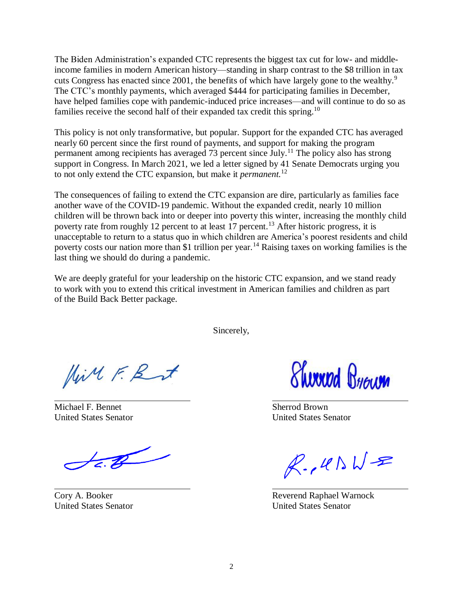The Biden Administration's expanded CTC represents the biggest tax cut for low- and middleincome families in modern American history—standing in sharp contrast to the \$8 trillion in tax cuts Congress has enacted since 2001, the benefits of which have largely gone to the wealthy.<sup>9</sup> The CTC's monthly payments, which averaged \$444 for participating families in December, have helped families cope with pandemic-induced price increases—and will continue to do so as families receive the second half of their expanded tax credit this spring.<sup>10</sup>

This policy is not only transformative, but popular. Support for the expanded CTC has averaged nearly 60 percent since the first round of payments, and support for making the program permanent among recipients has averaged 73 percent since July.<sup>11</sup> The policy also has strong support in Congress. In March 2021, we led a letter signed by 41 Senate Democrats urging you to not only extend the CTC expansion, but make it *permanent.*<sup>12</sup>

The consequences of failing to extend the CTC expansion are dire, particularly as families face another wave of the COVID-19 pandemic. Without the expanded credit, nearly 10 million children will be thrown back into or deeper into poverty this winter, increasing the monthly child poverty rate from roughly 12 percent to at least 17 percent.<sup>13</sup> After historic progress, it is unacceptable to return to a status quo in which children are America's poorest residents and child poverty costs our nation more than \$1 trillion per year.<sup>14</sup> Raising taxes on working families is the last thing we should do during a pandemic.

We are deeply grateful for your leadership on the historic CTC expansion, and we stand ready to work with you to extend this critical investment in American families and children as part of the Build Back Better package.

Sincerely,

Hill F. Rut

Michael F. Bennet Sherrod Brown

 $\overline{\mathscr{F}}$ 

*<u>Shirring Brown</u>* 

United States Senator United States Senator

 $R.445W-B$ 

Cory A. Booker Reverend Raphael Warnock United States Senator United States Senator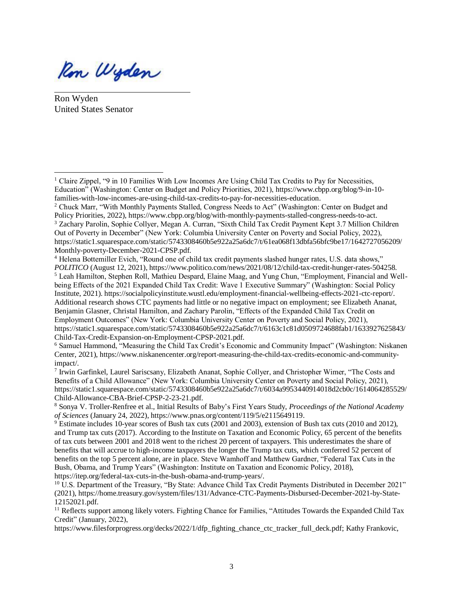Ron Wyden

Ron Wyden United States Senator

 $\overline{a}$ 

<sup>4</sup> Helena Bottemiller Evich, "Round one of child tax credit payments slashed hunger rates, U.S. data shows," *POLITICO* (August 12, 2021), https://www.politico.com/news/2021/08/12/child-tax-credit-hunger-rates-504258. <sup>5</sup> Leah Hamilton, Stephen Roll, Mathieu Despard, Elaine Maag, and Yung Chun, "Employment, Financial and Wellbeing Effects of the 2021 Expanded Child Tax Credit: Wave 1 Executive Summary" (Washington: Social Policy Institute, 2021). https://socialpolicyinstitute.wustl.edu/employment-financial-wellbeing-effects-2021-ctc-report/. Additional research shows CTC payments had little or no negative impact on employment; see Elizabeth Ananat, Benjamin Glasner, Christal Hamilton, and Zachary Parolin, "Effects of the Expanded Child Tax Credit on Employment Outcomes" (New York: Columbia University Center on Poverty and Social Policy, 2021), https://static1.squarespace.com/static/5743308460b5e922a25a6dc7/t/6163c1c81d0509724688fab1/1633927625843/ Child-Tax-Credit-Expansion-on-Employment-CPSP-2021.pdf.

<sup>6</sup> Samuel Hammond, "Measuring the Child Tax Credit's Economic and Community Impact" (Washington: Niskanen Center, 2021), https://www.niskanencenter.org/report-measuring-the-child-tax-credits-economic-and-communityimpact/.

7 Irwin Garfinkel, Laurel Sariscsany, Elizabeth Ananat, Sophie Collyer, and Christopher Wimer, "The Costs and Benefits of a Child Allowance" (New York: Columbia University Center on Poverty and Social Policy, 2021), https://static1.squarespace.com/static/5743308460b5e922a25a6dc7/t/6034a9953440914018d2cb0c/1614064285529/ Child-Allowance-CBA-Brief-CPSP-2-23-21.pdf.

<sup>8</sup> Sonya V. Troller-Renfree et al., Initial Results of Baby's First Years Study, *Proceedings of the National Academy of Sciences* (January 24, 2022), https://www.pnas.org/content/119/5/e2115649119.

<sup>9</sup> Estimate includes 10-year scores of Bush tax cuts (2001 and 2003), extension of Bush tax cuts (2010 and 2012), and Trump tax cuts (2017). According to the Institute on Taxation and Economic Policy, 65 percent of the benefits of tax cuts between 2001 and 2018 went to the richest 20 percent of taxpayers. This underestimates the share of benefits that will accrue to high-income taxpayers the longer the Trump tax cuts, which conferred 52 percent of benefits on the top 5 percent alone, are in place. Steve Wamhoff and Matthew Gardner, "Federal Tax Cuts in the Bush, Obama, and Trump Years" (Washington: Institute on Taxation and Economic Policy, 2018), https://itep.org/federal-tax-cuts-in-the-bush-obama-and-trump-years/.

 $11$  Reflects support among likely voters. Fighting Chance for Families, "Attitudes Towards the Expanded Child Tax Credit" (January, 2022),

https://www.filesforprogress.org/decks/2022/1/dfp\_fighting\_chance\_ctc\_tracker\_full\_deck.pdf; Kathy Frankovic,

<sup>&</sup>lt;sup>1</sup> Claire Zippel, "9 in 10 Families With Low Incomes Are Using Child Tax Credits to Pay for Necessities, Education" (Washington: Center on Budget and Policy Priorities, 2021), https://www.cbpp.org/blog/9-in-10 families-with-low-incomes-are-using-child-tax-credits-to-pay-for-necessities-education.

<sup>2</sup> Chuck Marr, "With Monthly Payments Stalled, Congress Needs to Act" (Washington: Center on Budget and Policy Priorities, 2022), https://www.cbpp.org/blog/with-monthly-payments-stalled-congress-needs-to-act. <sup>3</sup> Zachary Parolin, Sophie Collyer, Megan A. Curran, "Sixth Child Tax Credit Payment Kept 3.7 Million Children Out of Poverty in December" (New York: Columbia University Center on Poverty and Social Policy, 2022), https://static1.squarespace.com/static/5743308460b5e922a25a6dc7/t/61ea068f13dbfa56bfc9be17/1642727056209/ Monthly-poverty-December-2021-CPSP.pdf.

<sup>10</sup> U.S. Department of the Treasury, "By State: Advance Child Tax Credit Payments Distributed in December 2021" (2021), https://home.treasury.gov/system/files/131/Advance-CTC-Payments-Disbursed-December-2021-by-State-12152021.pdf.